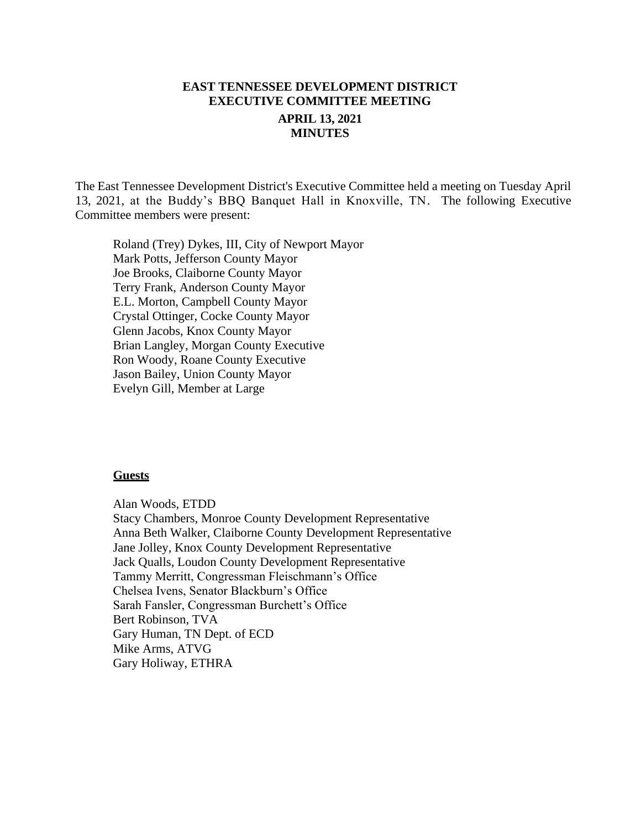# **EAST TENNESSEE DEVELOPMENT DISTRICT EXECUTIVE COMMITTEE MEETING APRIL 13, 2021 MINUTES**

The East Tennessee Development District's Executive Committee held a meeting on Tuesday April 13, 2021, at the Buddy's BBQ Banquet Hall in Knoxville, TN. The following Executive Committee members were present:

Roland (Trey) Dykes, III, City of Newport Mayor Mark Potts, Jefferson County Mayor Joe Brooks, Claiborne County Mayor Terry Frank, Anderson County Mayor E.L. Morton, Campbell County Mayor Crystal Ottinger, Cocke County Mayor Glenn Jacobs, Knox County Mayor Brian Langley, Morgan County Executive Ron Woody, Roane County Executive Jason Bailey, Union County Mayor Evelyn Gill, Member at Large

#### **Guests**

Alan Woods, ETDD Stacy Chambers, Monroe County Development Representative Anna Beth Walker, Claiborne County Development Representative Jane Jolley, Knox County Development Representative Jack Qualls, Loudon County Development Representative Tammy Merritt, Congressman Fleischmann's Office Chelsea Ivens, Senator Blackburn's Office Sarah Fansler, Congressman Burchett's Office Bert Robinson, TVA Gary Human, TN Dept. of ECD Mike Arms, ATVG Gary Holiway, ETHRA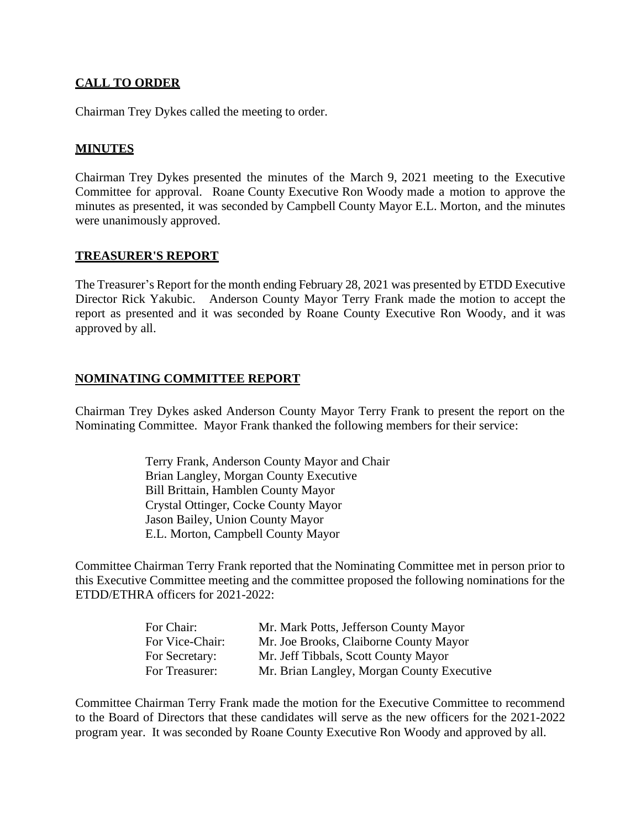# **CALL TO ORDER**

Chairman Trey Dykes called the meeting to order.

# **MINUTES**

Chairman Trey Dykes presented the minutes of the March 9, 2021 meeting to the Executive Committee for approval. Roane County Executive Ron Woody made a motion to approve the minutes as presented, it was seconded by Campbell County Mayor E.L. Morton, and the minutes were unanimously approved.

#### **TREASURER'S REPORT**

The Treasurer's Report for the month ending February 28, 2021 was presented by ETDD Executive Director Rick Yakubic. Anderson County Mayor Terry Frank made the motion to accept the report as presented and it was seconded by Roane County Executive Ron Woody, and it was approved by all.

### **NOMINATING COMMITTEE REPORT**

Chairman Trey Dykes asked Anderson County Mayor Terry Frank to present the report on the Nominating Committee. Mayor Frank thanked the following members for their service:

> Terry Frank, Anderson County Mayor and Chair Brian Langley, Morgan County Executive Bill Brittain, Hamblen County Mayor Crystal Ottinger, Cocke County Mayor Jason Bailey, Union County Mayor E.L. Morton, Campbell County Mayor

Committee Chairman Terry Frank reported that the Nominating Committee met in person prior to this Executive Committee meeting and the committee proposed the following nominations for the ETDD/ETHRA officers for 2021-2022:

| For Chair:      | Mr. Mark Potts, Jefferson County Mayor     |
|-----------------|--------------------------------------------|
| For Vice-Chair: | Mr. Joe Brooks, Claiborne County Mayor     |
| For Secretary:  | Mr. Jeff Tibbals, Scott County Mayor       |
| For Treasurer:  | Mr. Brian Langley, Morgan County Executive |

Committee Chairman Terry Frank made the motion for the Executive Committee to recommend to the Board of Directors that these candidates will serve as the new officers for the 2021-2022 program year. It was seconded by Roane County Executive Ron Woody and approved by all.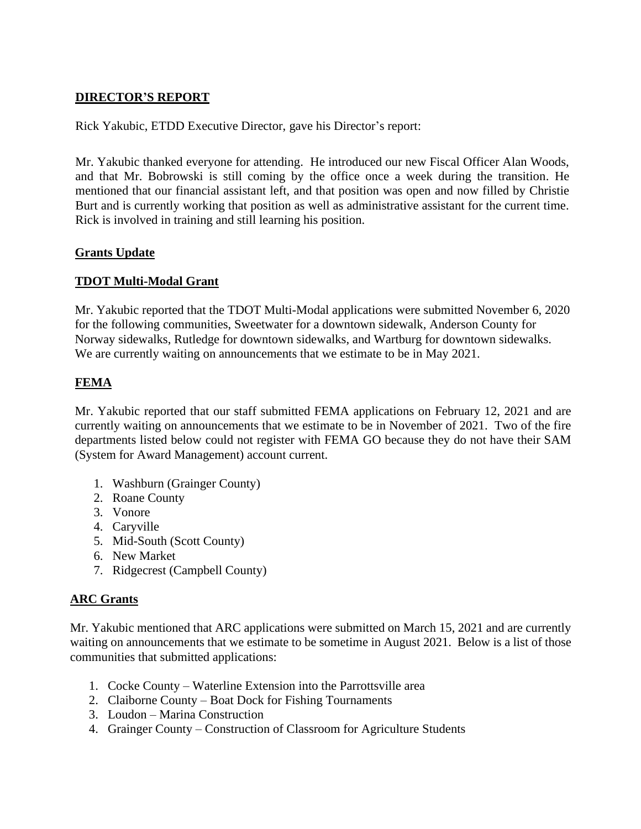# **DIRECTOR'S REPORT**

Rick Yakubic, ETDD Executive Director, gave his Director's report:

Mr. Yakubic thanked everyone for attending. He introduced our new Fiscal Officer Alan Woods, and that Mr. Bobrowski is still coming by the office once a week during the transition. He mentioned that our financial assistant left, and that position was open and now filled by Christie Burt and is currently working that position as well as administrative assistant for the current time. Rick is involved in training and still learning his position.

### **Grants Update**

### **TDOT Multi-Modal Grant**

Mr. Yakubic reported that the TDOT Multi-Modal applications were submitted November 6, 2020 for the following communities, Sweetwater for a downtown sidewalk, Anderson County for Norway sidewalks, Rutledge for downtown sidewalks, and Wartburg for downtown sidewalks. We are currently waiting on announcements that we estimate to be in May 2021.

# **FEMA**

Mr. Yakubic reported that our staff submitted FEMA applications on February 12, 2021 and are currently waiting on announcements that we estimate to be in November of 2021. Two of the fire departments listed below could not register with FEMA GO because they do not have their SAM (System for Award Management) account current.

- 1. Washburn (Grainger County)
- 2. Roane County
- 3. Vonore
- 4. Caryville
- 5. Mid-South (Scott County)
- 6. New Market
- 7. Ridgecrest (Campbell County)

# **ARC Grants**

Mr. Yakubic mentioned that ARC applications were submitted on March 15, 2021 and are currently waiting on announcements that we estimate to be sometime in August 2021. Below is a list of those communities that submitted applications:

- 1. Cocke County Waterline Extension into the Parrottsville area
- 2. Claiborne County Boat Dock for Fishing Tournaments
- 3. Loudon Marina Construction
- 4. Grainger County Construction of Classroom for Agriculture Students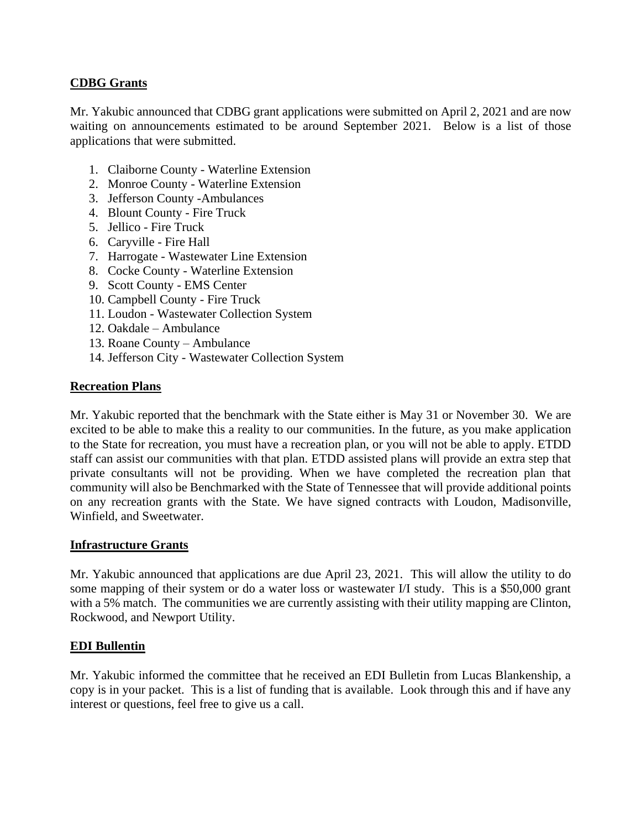# **CDBG Grants**

Mr. Yakubic announced that CDBG grant applications were submitted on April 2, 2021 and are now waiting on announcements estimated to be around September 2021. Below is a list of those applications that were submitted.

- 1. Claiborne County Waterline Extension
- 2. Monroe County Waterline Extension
- 3. Jefferson County -Ambulances
- 4. Blount County Fire Truck
- 5. Jellico Fire Truck
- 6. Caryville Fire Hall
- 7. Harrogate Wastewater Line Extension
- 8. Cocke County Waterline Extension
- 9. Scott County EMS Center
- 10. Campbell County Fire Truck
- 11. Loudon Wastewater Collection System
- 12. Oakdale Ambulance
- 13. Roane County Ambulance
- 14. Jefferson City Wastewater Collection System

#### **Recreation Plans**

Mr. Yakubic reported that the benchmark with the State either is May 31 or November 30. We are excited to be able to make this a reality to our communities. In the future, as you make application to the State for recreation, you must have a recreation plan, or you will not be able to apply. ETDD staff can assist our communities with that plan. ETDD assisted plans will provide an extra step that private consultants will not be providing. When we have completed the recreation plan that community will also be Benchmarked with the State of Tennessee that will provide additional points on any recreation grants with the State. We have signed contracts with Loudon, Madisonville, Winfield, and Sweetwater.

#### **Infrastructure Grants**

Mr. Yakubic announced that applications are due April 23, 2021. This will allow the utility to do some mapping of their system or do a water loss or wastewater I/I study. This is a \$50,000 grant with a 5% match. The communities we are currently assisting with their utility mapping are Clinton, Rockwood, and Newport Utility.

#### **EDI Bullentin**

Mr. Yakubic informed the committee that he received an EDI Bulletin from Lucas Blankenship, a copy is in your packet. This is a list of funding that is available. Look through this and if have any interest or questions, feel free to give us a call.